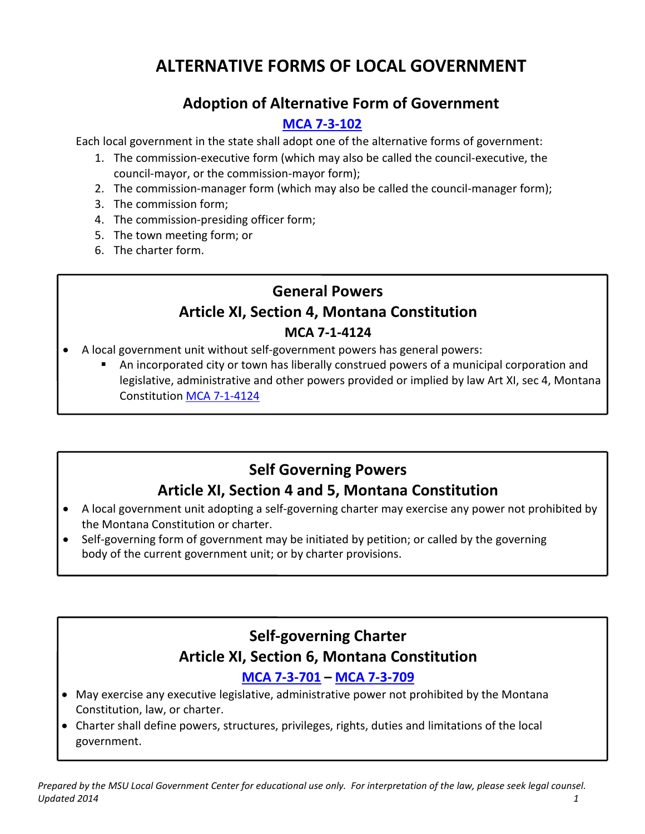# **ALTERNATIVE FORMS OF LOCAL GOVERNMENT**

## **Adoption of Alternative Form of Government**

#### **[MCA 7-3-102](http://leg.mt.gov/bills/mca/7/3/7-3-102.htm)**

Each local government in the state shall adopt one of the alternative forms of government:

- 1. The commission-executive form (which may also be called the council-executive, the council-mayor, or the commission-mayor form);
- 2. The commission-manager form (which may also be called the council-manager form);
- 3. The commission form;
- 4. The commission-presiding officer form;
- 5. The town meeting form; or
- 6. The charter form.

# **General Powers Article XI, Section 4, Montana Constitution MCA 7-1-4124**

- A local government unit without self-government powers has general powers:
	- An incorporated city or town has liberally construed powers of a municipal corporation and legislative, administrative and other powers provided or implied by law Art XI, sec 4, Montana Constitution [MCA 7-1-4124](http://leg.mt.gov/bills/mca/7/1/7-1-4124.htm)

# **Self Governing Powers**

# **Article XI, Section 4 and 5, Montana Constitution**

- A local government unit adopting a self-governing charter may exercise any power not prohibited by the Montana Constitution or charter.
- Self-governing form of government may be initiated by petition; or called by the governing body of the current government unit; or by charter provisions.

# **Self-governing Charter Article XI, Section 6, Montana Constitution**

#### **[MCA 7-3-701](http://leg.mt.gov/bills/mca/7/3/7-3-701.htm) – [MCA 7-3-709](http://leg.mt.gov/bills/mca/7/3/7-3-709.htm)**

- May exercise any executive legislative, administrative power not prohibited by the Montana Constitution, law, or charter.
- Charter shall define powers, structures, privileges, rights, duties and limitations of the local government.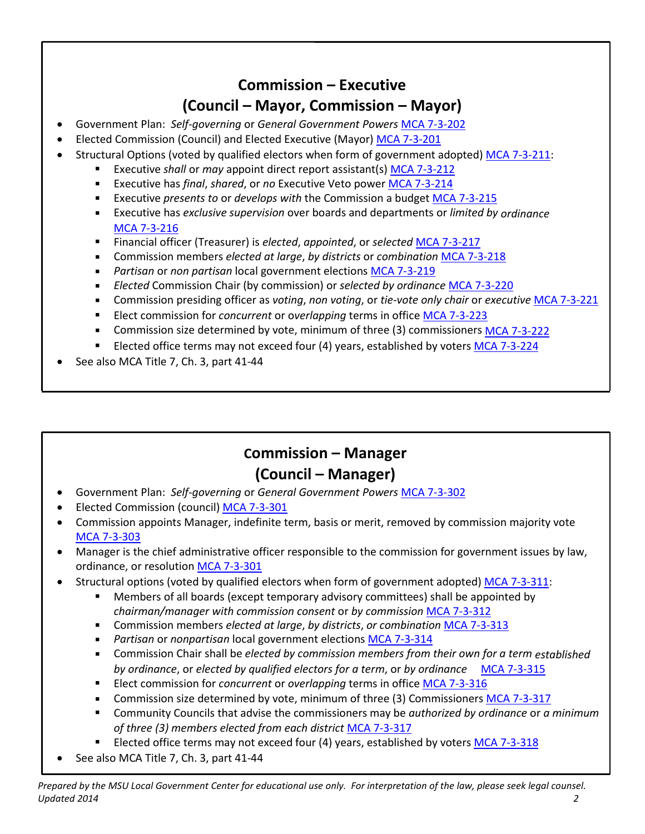## **Commission – Executive (Council – Mayor, Commission – Mayor)**

- Government Plan: *Self-governing* or *General Government Powers* [MCA 7-3-202](http://leg.mt.gov/bills/mca/7/3/7-3-202.htm)
- Elected Commission (Council) and Elected Executive (Mayor) [MCA 7-3-201](http://leg.mt.gov/bills/mca/7/3/7-3-201.htm)
- Structural Options (voted by qualified electors when form of government adopted) [MCA 7-3-211:](http://leg.mt.gov/bills/mca/7/3/7-3-211.htm)
	- Executive *shall* or *may* appoint direct report assistant(s[\) MCA 7-3-212](http://leg.mt.gov/bills/mca/7/3/7-3-212.htm)
		- Executive has *final*, *shared*, or *no* Executive Veto powe[r MCA 7-3-214](http://leg.mt.gov/bills/mca/7/3/7-3-214.htm)
	- Executive *presents to* or *develops with* the Commission a budge[t MCA 7-3-215](http://leg.mt.gov/bills/mca/7/3/7-3-215.htm)
	- Executive has *exclusive supervision* over boards and departments or *limited by ordinance*  MCA [7-3-216](http://leg.mt.gov/bills/mca/7/3/7-3-216.htm)
	- Financial officer (Treasurer) is *elected*, *appointed*, or *selected* [MCA 7-3-217](http://leg.mt.gov/bills/mca/7/3/7-3-217.htm)
	- Commission members *elected at large*, *by districts* or *combination* [MCA 7-3-218](http://leg.mt.gov/bills/mca/7/3/7-3-218.htm)
	- *Partisan* or *non partisan* local government elections [MCA 7-3-219](http://leg.mt.gov/bills/mca/7/3/7-3-219.htm)
	- *Elected* Commission Chair (by commission) or *selected by ordinance* MCA [7-3-220](http://leg.mt.gov/bills/mca/7/3/7-3-220.htm)
	- Commission presiding officer as *voting*, *non voting*, or *tie-vote only chair* or *executive* [MCA 7-3-221](http://leg.mt.gov/bills/mca/7/3/7-3-221.htm)
	- Elect commission for *concurrent* or o*verlapping* terms in office [MCA 7-3-223](http://leg.mt.gov/bills/mca/7/3/7-3-223.htm)
	- Commission size determined by vote, minimum of three (3) commissioners [MCA 7-3-222](http://leg.mt.gov/bills/mca/7/3/7-3-222.htm)
	- **Elected office terms may not exceed four (4) years, established by voters [MCA 7-3-224](http://leg.mt.gov/bills/mca/7/3/7-3-224.htm)**
- See also MCA Title 7, Ch. 3, part 41-44

# **Commission – Manager (Council – Manager)**

- Government Plan: *Self-governing* or *General Government Powers* [MCA 7-3-302](http://leg.mt.gov/bills/mca/7/3/7-3-302.htm)
- Elected Commission (council) [MCA 7-3-301](http://leg.mt.gov/bills/mca/7/3/7-3-301.htm)
- Commission appoints Manager, indefinite term, basis or merit, removed by commission majority vote [MCA 7-3-303](http://leg.mt.gov/bills/mca/7/3/7-3-303.htm)
- Manager is the chief administrative officer responsible to the commission for government issues by law, ordinance, or resolution [MCA 7-3-301](http://leg.mt.gov/bills/mca/7/3/7-3-301.htm)
- Structural options (voted by qualified electors when form of government adopted) [MCA 7-3-311:](http://leg.mt.gov/bills/mca/7/3/7-3-311.htm)
	- Members of all boards (except temporary advisory committees) shall be appointed by *chairman/manager with commission consent* or *by commission* [MCA 7-3-312](http://leg.mt.gov/bills/mca/7/3/7-3-312.htm)
	- Commission members *elected at large*, *by districts*, *or combination* [MCA 7-3-313](http://leg.mt.gov/bills/mca/7/3/7-3-313.htm)
	- *Partisan* or *nonpartisan* local government elections [MCA 7-3-314](http://leg.mt.gov/bills/mca/7/3/7-3-314.htm)
	- Commission Chair shall be *elected by commission members from their own for a term established by ordinance*, or *elected by qualified electors for a term*, or *by ordinance* MCA [7-3-315](http://leg.mt.gov/bills/mca/7/3/7-3-315.htm)
	- Elect commission for *concurrent* or *overlapping* terms in office [MCA 7-3-316](http://leg.mt.gov/bills/mca/7/3/7-3-316.htm)
	- Commission size determined by vote, minimum of three (3) Commissioners MCA [7-3-317](http://leg.mt.gov/bills/mca/7/3/7-3-317.htm)
	- Community Councils that advise the commissioners may be *authorized by ordinance* or *a minimum of three (3) members elected from each district* MCA [7-3-317](http://leg.mt.gov/bills/mca/7/3/7-3-317.htm)
	- Elected office terms may not exceed four (4) years, established by voters [MCA 7-3-318](http://leg.mt.gov/bills/mca/7/3/7-3-318.htm)
- See also MCA Title 7, Ch. 3, part 41-44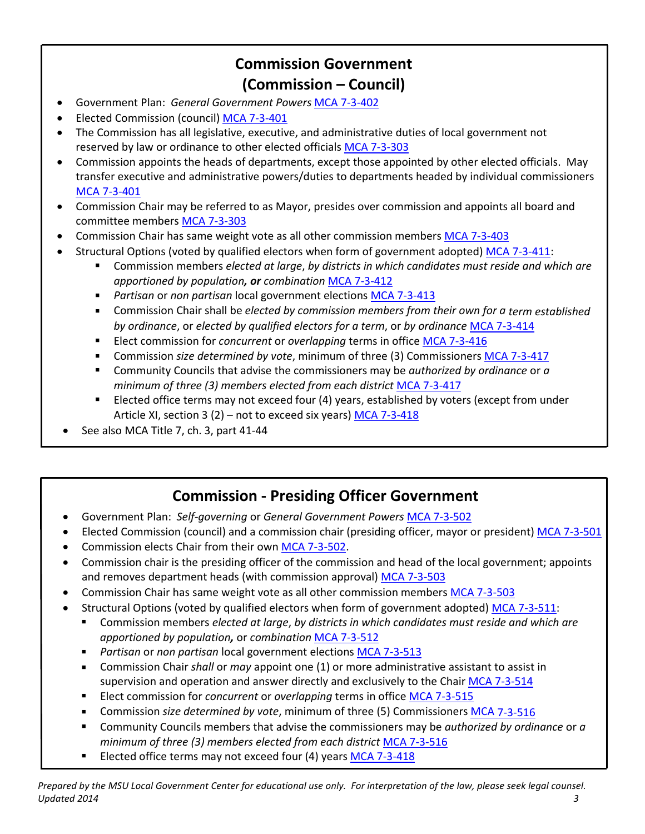## **Commission Government (Commission – Council)**

- Government Plan: *General Government Powers* [MCA 7-3-402](http://leg.mt.gov/bills/mca/7/3/7-3-402.htm)
- Elected Commission (council) [MCA 7-3-401](http://leg.mt.gov/bills/mca/7/3/7-3-401.htm)
- The Commission has all legislative, executive, and administrative duties of local government not reserved by law or ordinance to other elected officials [MCA 7-3-303](http://leg.mt.gov/bills/mca/7/3/7-3-303.htm)
- Commission appoints the heads of departments, except those appointed by other elected officials. May transfer executive and administrative powers/duties to departments headed by individual commissioners [MCA 7-3-401](http://leg.mt.gov/bills/mca/7/3/7-3-401.htm)
- Commission Chair may be referred to as Mayor, presides over commission and appoints all board and committee member[s MCA 7-3-303](http://leg.mt.gov/bills/mca/7/3/7-3-303.htm)
- Commission Chair has same weight vote as all other commission members [MCA 7-3-403](http://leg.mt.gov/bills/mca/7/3/7-3-403.htm)
- Structural Options (voted by qualified electors when form of government adopted) [MCA 7-3-411:](http://leg.mt.gov/bills/mca/7/3/7-3-411.htm)
	- Commission members *elected at large*, *by districts in which candidates must reside and which are apportioned by population, or combination* [MCA 7-3-412](http://leg.mt.gov/bills/mca/7/3/7-3-412.htm)
	- *Partisan* or *non partisan* local government elections [MCA 7-3-413](http://leg.mt.gov/bills/mca/7/3/7-3-413.htm)
	- Commission Chair shall be *elected by commission members from their own for a term established by ordinance*, or *elected by qualified electors for a term*, or *by ordinance* MCA [7-3-414](http://leg.mt.gov/bills/mca/7/3/7-3-414.htm)
	- Elect commission for *concurrent* or *overlapping* terms in office [MCA 7-3-416](http://leg.mt.gov/bills/mca/7/3/7-3-416.htm)
	- Commission *size determined by vote*, minimum of three (3) Commissioners MCA [7-3-417](http://leg.mt.gov/bills/mca/7/3/7-3-417.htm)
	- Community Councils that advise the commissioners may be *authorized by ordinance* or *a minimum of three (3) members elected from each district* MCA [7-3-417](http://leg.mt.gov/bills/mca/7/3/7-3-417.htm)
	- Elected office terms may not exceed four (4) years, established by voters (except from under Article XI, section 3 (2) – not to exceed six years) [MCA 7-3-418](http://leg.mt.gov/bills/mca/7/3/7-3-418.htm)
- See also MCA Title 7, ch. 3, part 41-44

### **Commission - Presiding Officer Government**

- Government Plan: *Self-governing* or *General Government Powers* [MCA 7-3-502](http://leg.mt.gov/bills/mca/7/3/7-3-502.htm)
- Elected Commission (council) and a commission chair (presiding officer, mayor or president) [MCA 7-3-501](http://leg.mt.gov/bills/mca/7/3/7-3-501.htm)
- Commission elects Chair from their own [MCA 7-3-502.](http://leg.mt.gov/bills/mca/7/3/7-3-502.htm)
- Commission chair is the presiding officer of the commission and head of the local government; appoints and removes department heads (with commission approval) [MCA 7-3-503](http://leg.mt.gov/bills/mca/7/3/7-3-503.htm)
- Commission Chair has same weight vote as all other commission members [MCA 7-3-503](http://leg.mt.gov/bills/mca/7/3/7-3-503.htm)
- Structural Options (voted by qualified electors when form of government adopted) [MCA 7-3-511:](http://leg.mt.gov/bills/mca/7/3/7-3-511.htm)
	- Commission members *elected at large*, *by districts in which candidates must reside and which are apportioned by population,* or *combination* [MCA 7-3-512](http://leg.mt.gov/bills/mca/7/3/7-3-512.htm)
	- *Partisan* or *non partisan* local government elections [MCA 7-3-513](http://leg.mt.gov/bills/mca/7/3/7-3-513.htm)
	- Commission Chair *shall* or *may* appoint one (1) or more administrative assistant to assist in supervision and operation and answer directly and exclusively to the Chair [MCA 7-3-514](http://leg.mt.gov/bills/mca/7/3/7-3-514.htm)
	- Elect commission for *concurrent* or *overlapping* terms in office [MCA 7-3-515](http://leg.mt.gov/bills/mca/7/3/7-3-515.htm)
	- Commission *size determined by vote*, minimum of three (5) Commissioners MCA [7-3-516](http://leg.mt.gov/bills/mca/7/3/7-3-516.htm)
	- Community Councils members that advise the commissioners may be *authorized by ordinance* or *a minimum of three (3) members elected from each district* MCA [7-3-516](http://leg.mt.gov/bills/mca/7/3/7-3-516.htm)
	- Elected office terms may not exceed four (4) year[s MCA 7-3-418](http://leg.mt.gov/bills/mca/7/3/7-3-418.htm)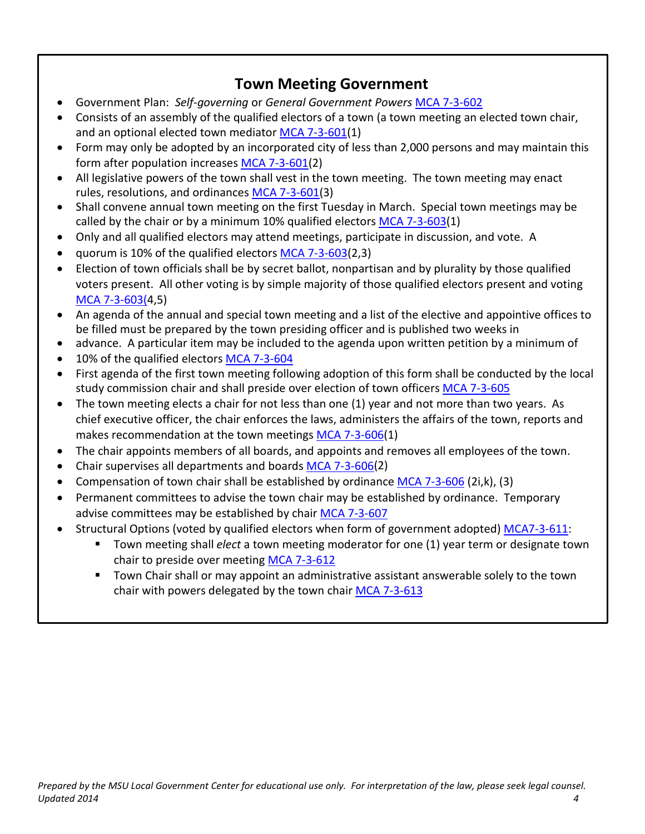### **Town Meeting Government**

- Government Plan: *Self-governing* or *General Government Powers* [MCA 7-3-602](http://leg.mt.gov/bills/mca/7/3/7-3-602.htm)
- Consists of an assembly of the qualified electors of a town (a town meeting an elected town chair, and an optional elected town mediator [MCA 7-3-601\(](http://leg.mt.gov/bills/mca/7/3/7-3-601.htm)1)
- Form may only be adopted by an incorporated city of less than 2,000 persons and may maintain this form after population increase[s MCA 7-3-601\(](http://leg.mt.gov/bills/mca/7/3/7-3-601.htm)2)
- All legislative powers of the town shall vest in the town meeting. The town meeting may enact rules, resolutions, and ordinances [MCA 7-3-601\(](http://leg.mt.gov/bills/mca/7/3/7-3-601.htm)3)
- Shall convene annual town meeting on the first Tuesday in March. Special town meetings may be called by the chair or by a minimum 10% qualified elector[s MCA 7-3-603\(](http://leg.mt.gov/bills/mca/7/3/7-3-603.htm)1)
- Only and all qualified electors may attend meetings, participate in discussion, and vote. A
- quorum is 10% of the qualified electors [MCA 7-3-603\(](http://leg.mt.gov/bills/mca/7/3/7-3-603.htm)2,3)
- Election of town officials shall be by secret ballot, nonpartisan and by plurality by those qualified voters present. All other voting is by simple majority of those qualified electors present and voting [MCA 7-3-603\(4](http://leg.mt.gov/bills/mca/7/3/7-3-603.htm),5)
- An agenda of the annual and special town meeting and a list of the elective and appointive offices to be filled must be prepared by the town presiding officer and is published two weeks in
- advance. A particular item may be included to the agenda upon written petition by a minimum of
- 10% of the qualified electors [MCA 7-3-604](http://leg.mt.gov/bills/mca/7/3/7-3-604.htm)
- First agenda of the first town meeting following adoption of this form shall be conducted by the local study commission chair and shall preside over election of town officers [MCA 7-3-605](http://leg.mt.gov/bills/mca/7/3/7-3-605.htm)
- The town meeting elects a chair for not less than one (1) year and not more than two years. As chief executive officer, the chair enforces the laws, administers the affairs of the town, reports and makes recommendation at the town meetings [MCA 7-3-606\(](http://leg.mt.gov/bills/mca/7/3/7-3-606.htm)1)
- The chair appoints members of all boards, and appoints and removes all employees of the town.
- Chair supervises all departments and boards [MCA 7-3-606\(](http://leg.mt.gov/bills/mca/7/3/7-3-606.htm)2)
- Compensation of town chair shall be established by ordinance [MCA 7-3-606](http://leg.mt.gov/bills/mca/7/3/7-3-606.htm) (2i,k), (3)
- Permanent committees to advise the town chair may be established by ordinance. Temporary advise committees may be established by chair [MCA 7-3-607](http://leg.mt.gov/bills/mca/7/3/7-3-607.htm)
- Structural Options (voted by qualified electors when form of government adopted) [MCA7-3-611:](http://leg.mt.gov/bills/mca/7/3/7-3-611.htm)
	- Town meeting shall *elect* a town meeting moderator for one (1) year term or designate town chair to preside over meeting [MCA 7-3-612](http://leg.mt.gov/bills/mca/7/3/7-3-612.htm)
	- Town Chair shall or may appoint an administrative assistant answerable solely to the town chair with powers delegated by the town chair [MCA 7-3-613](http://leg.mt.gov/bills/mca/7/3/7-3-613.htm)